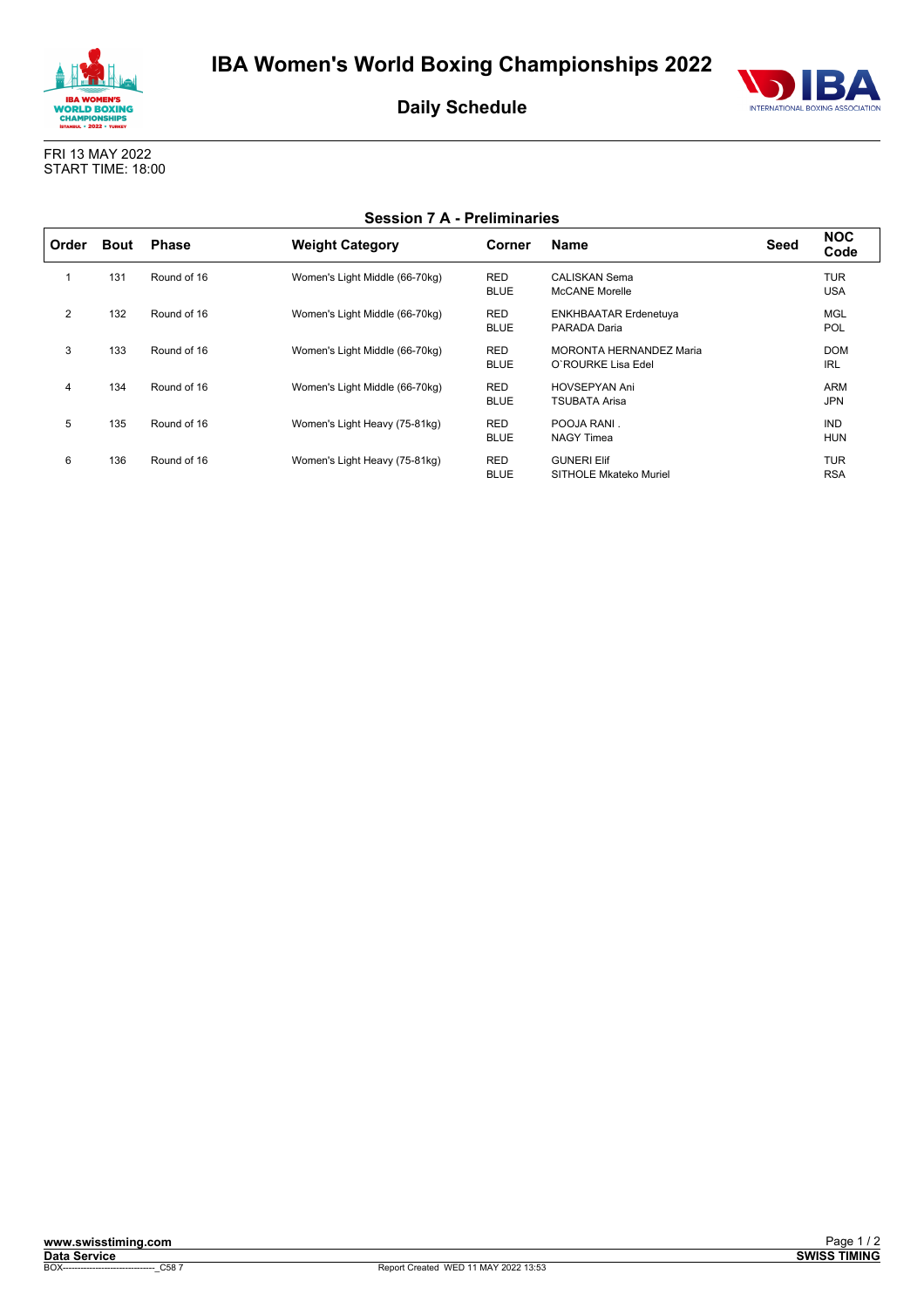



**Daily Schedule**

FRI 13 MAY 2022 START TIME: 18:00

 $\mathsf{r}$ 

|  | <b>Session 7 A - Preliminaries</b> |
|--|------------------------------------|
|--|------------------------------------|

| Order | <b>Bout</b> | <b>Phase</b> | <b>Weight Category</b>         | Corner                    | <b>Name</b>                                          | Seed | <b>NOC</b><br>Code       |
|-------|-------------|--------------|--------------------------------|---------------------------|------------------------------------------------------|------|--------------------------|
|       | 131         | Round of 16  | Women's Light Middle (66-70kg) | <b>RED</b><br><b>BLUE</b> | CALISKAN Sema<br><b>McCANE Morelle</b>               |      | <b>TUR</b><br><b>USA</b> |
| 2     | 132         | Round of 16  | Women's Light Middle (66-70kg) | <b>RED</b><br><b>BLUE</b> | <b>ENKHBAATAR Erdenetuya</b><br>PARADA Daria         |      | <b>MGL</b><br><b>POL</b> |
| 3     | 133         | Round of 16  | Women's Light Middle (66-70kg) | <b>RED</b><br><b>BLUE</b> | <b>MORONTA HERNANDEZ Maria</b><br>O'ROURKE Lisa Edel |      | <b>DOM</b><br><b>IRL</b> |
| 4     | 134         | Round of 16  | Women's Light Middle (66-70kg) | <b>RED</b><br><b>BLUE</b> | <b>HOVSEPYAN Ani</b><br>TSUBATA Arisa                |      | <b>ARM</b><br><b>JPN</b> |
| 5     | 135         | Round of 16  | Women's Light Heavy (75-81kg)  | <b>RED</b><br><b>BLUE</b> | POOJA RANI.<br><b>NAGY Timea</b>                     |      | <b>IND</b><br><b>HUN</b> |
| 6     | 136         | Round of 16  | Women's Light Heavy (75-81kg)  | <b>RED</b><br><b>BLUE</b> | <b>GUNERI Elif</b><br><b>SITHOLE Mkateko Muriel</b>  |      | <b>TUR</b><br><b>RSA</b> |